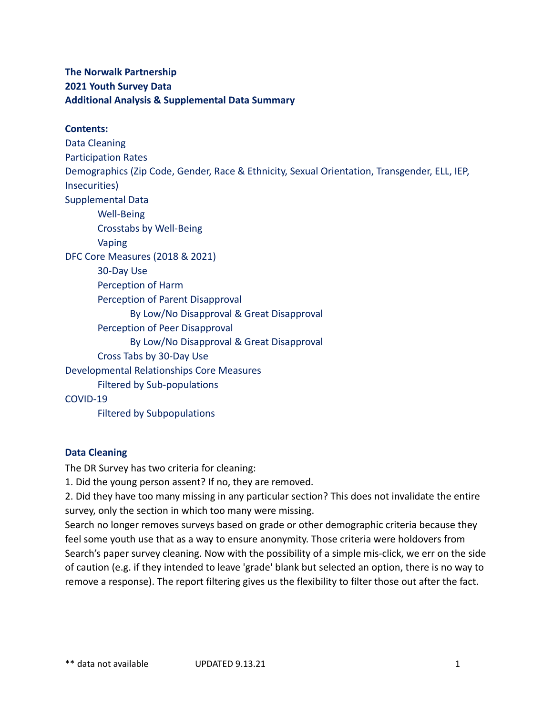**The Norwalk Partnership 2021 Youth Survey Data Additional Analysis & Supplemental Data Summary**

### **Contents:**

Data Cleaning Participation Rates Demographics (Zip Code, Gender, Race & Ethnicity, Sexual Orientation, Transgender, ELL, IEP, Insecurities) Supplemental Data Well-Being Crosstabs by Well-Being Vaping DFC Core Measures (2018 & 2021) 30-Day Use Perception of Harm Perception of Parent Disapproval By Low/No Disapproval & Great Disapproval Perception of Peer Disapproval By Low/No Disapproval & Great Disapproval Cross Tabs by 30-Day Use Developmental Relationships Core Measures Filtered by Sub-populations COVID-19 Filtered by Subpopulations

### **Data Cleaning**

The DR Survey has two criteria for cleaning:

1. Did the young person assent? If no, they are removed.

2. Did they have too many missing in any particular section? This does not invalidate the entire survey, only the section in which too many were missing.

Search no longer removes surveys based on grade or other demographic criteria because they feel some youth use that as a way to ensure anonymity. Those criteria were holdovers from Search's paper survey cleaning. Now with the possibility of a simple mis-click, we err on the side of caution (e.g. if they intended to leave 'grade' blank but selected an option, there is no way to remove a response). The report filtering gives us the flexibility to filter those out after the fact.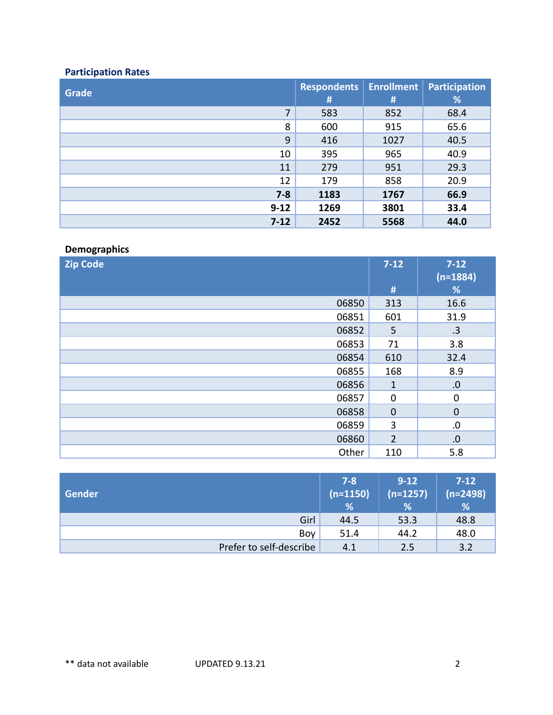# **Participation Rates**

| <b>Grade</b> | <b>Respondents</b><br># | Enrollment  <br># | Participation<br>% |
|--------------|-------------------------|-------------------|--------------------|
| 7            | 583                     | 852               | 68.4               |
| 8            | 600                     | 915               | 65.6               |
| 9            | 416                     | 1027              | 40.5               |
| 10           | 395                     | 965               | 40.9               |
| 11           | 279                     | 951               | 29.3               |
| 12           | 179                     | 858               | 20.9               |
| $7 - 8$      | 1183                    | 1767              | 66.9               |
| $9 - 12$     | 1269                    | 3801              | 33.4               |
| $7 - 12$     | 2452                    | 5568              | 44.0               |

## **Demographics**

| <b>Zip Code</b> | $7 - 12$       | $7 - 12$<br>$(n=1884)$ |
|-----------------|----------------|------------------------|
|                 | #              | %                      |
| 06850           | 313            | 16.6                   |
| 06851           | 601            | 31.9                   |
| 06852           | 5              | .3                     |
| 06853           | 71             | 3.8                    |
| 06854           | 610            | 32.4                   |
| 06855           | 168            | 8.9                    |
| 06856           | 1              | .0                     |
| 06857           | $\mathbf 0$    | $\mathbf 0$            |
| 06858           | $\mathbf 0$    | $\pmb{0}$              |
| 06859           | 3              | .0                     |
| 06860           | $\overline{2}$ | .0                     |
| Other           | 110            | 5.8                    |

| <b>Gender</b>           | $7 - 8$<br>$(n=1150)$<br>% | $9 - 12$<br>$(n=1257)$<br>% | $7 - 12$<br>$(n=2498)$<br>% |
|-------------------------|----------------------------|-----------------------------|-----------------------------|
| Girl                    | 44.5                       | 53.3                        | 48.8                        |
| Boy                     | 51.4                       | 44.2                        | 48.0                        |
| Prefer to self-describe | 4.1                        | 2.5                         | 3.2                         |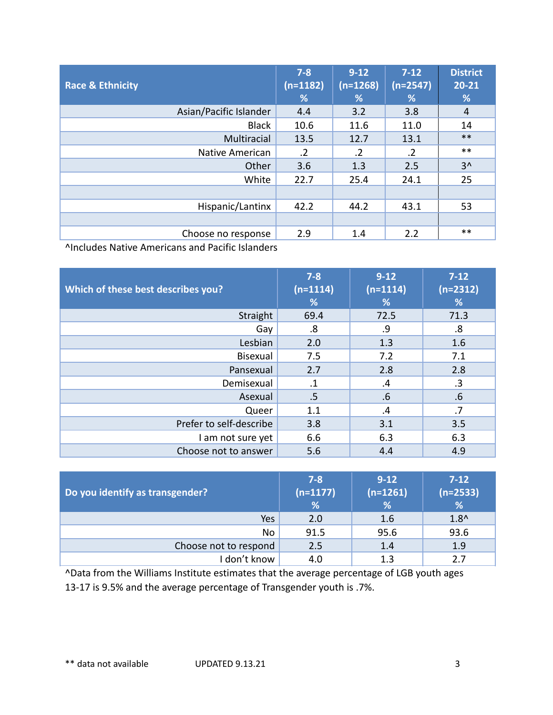| <b>Race &amp; Ethnicity</b> | $7 - 8$<br>$(n=1182)$<br>% | $9 - 12$<br>$(n=1268)$<br>% | $7 - 12$<br>$(n=2547)$<br>% | <b>District</b><br>$20 - 21$<br>% |
|-----------------------------|----------------------------|-----------------------------|-----------------------------|-----------------------------------|
| Asian/Pacific Islander      | 4.4                        | 3.2                         | 3.8                         | $\overline{4}$                    |
| <b>Black</b>                | 10.6                       | 11.6                        | 11.0                        | 14                                |
| Multiracial                 | 13.5                       | 12.7                        | 13.1                        | $***$                             |
| Native American             | $\cdot$ .2                 | $\cdot$ .2                  | $\cdot$ .2                  | $***$                             |
| Other                       | 3.6                        | 1.3                         | 2.5                         | $3^{\prime}$                      |
| White                       | 22.7                       | 25.4                        | 24.1                        | 25                                |
|                             |                            |                             |                             |                                   |
| Hispanic/Lantinx            | 42.2                       | 44.2                        | 43.1                        | 53                                |
|                             |                            |                             |                             |                                   |
| Choose no response          | 2.9                        | 1.4                         | 2.2                         | $***$                             |

^Includes Native Americans and Pacific Islanders

| Which of these best describes you? | $7 - 8$<br>$(n=1114)$<br>% | $9 - 12$<br>$(n=1114)$<br>% | $7 - 12$<br>$(n=2312)$<br>% |
|------------------------------------|----------------------------|-----------------------------|-----------------------------|
| Straight                           | 69.4                       | 72.5                        | 71.3                        |
| Gay                                | .8                         | .9                          | .8                          |
| Lesbian                            | 2.0                        | 1.3                         | 1.6                         |
| Bisexual                           | 7.5                        | 7.2                         | 7.1                         |
| Pansexual                          | 2.7                        | 2.8                         | 2.8                         |
| Demisexual                         | $\cdot$ 1                  | .4                          | .3                          |
| Asexual                            | .5                         | .6                          | .6                          |
| Queer                              | 1.1                        | .4                          | .7                          |
| Prefer to self-describe            | 3.8                        | 3.1                         | 3.5                         |
| am not sure yet                    | 6.6                        | 6.3                         | 6.3                         |
| Choose not to answer               | 5.6                        | 4.4                         | 4.9                         |

| Do you identify as transgender? | $7 - 8$<br>$(n=1177)$<br>% | $9 - 12$<br>$(n=1261)$<br>% | $7 - 12$<br>$(n=2533)$<br>% |
|---------------------------------|----------------------------|-----------------------------|-----------------------------|
| Yes                             | 2.0                        | 1.6                         | $1.8^{\prime}$              |
| No                              | 91.5                       | 95.6                        | 93.6                        |
| Choose not to respond           | 2.5                        | 1.4                         | 1.9                         |
| don't know                      | 4.0                        | 1.3                         | 2.7                         |

^Data from the Williams Institute estimates that the average percentage of LGB youth ages 13-17 is 9.5% and the average percentage of Transgender youth is .7%.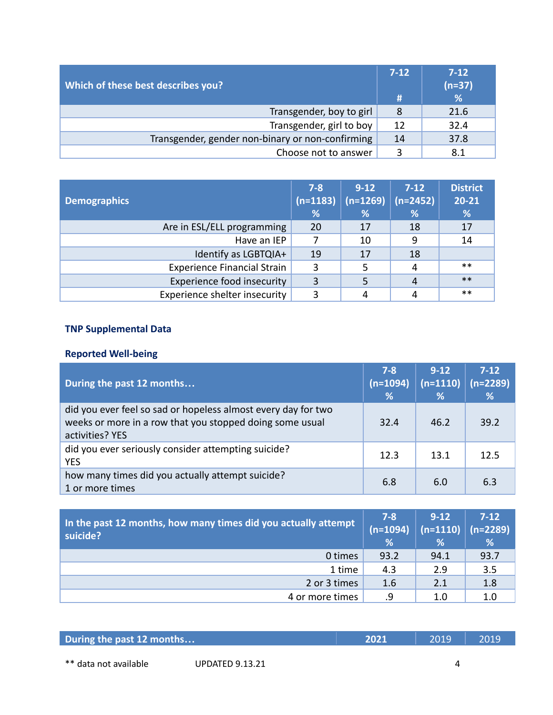| Which of these best describes you?               | $7-12$<br># | $7-12$<br>$(n=37)$<br>% |
|--------------------------------------------------|-------------|-------------------------|
| Transgender, boy to girl                         | 8           | 21.6                    |
| Transgender, girl to boy                         | 12          | 32.4                    |
| Transgender, gender non-binary or non-confirming | 14          | 37.8                    |
| Choose not to answer                             |             | 8.1                     |

| <b>Demographics</b>                | $7 - 8$<br>$(n=1183)$<br>% | $9 - 12$<br>$(n=1269)$<br>% | $7 - 12$<br>$(n=2452)$<br>% | <b>District</b><br>$20 - 21$<br>% |
|------------------------------------|----------------------------|-----------------------------|-----------------------------|-----------------------------------|
| Are in ESL/ELL programming         | 20                         | 17                          | 18                          | 17                                |
| Have an IEP                        | 7                          | 10                          | 9                           | 14                                |
| Identify as LGBTQIA+               | 19                         | 17                          | 18                          |                                   |
| <b>Experience Financial Strain</b> | 3                          | 5                           | 4                           | $***$                             |
| Experience food insecurity         | 3                          | 5                           | $\overline{4}$              | $***$                             |
| Experience shelter insecurity      | 3                          | 4                           | 4                           | $***$                             |

# **TNP Supplemental Data**

# **Reported Well-being**

| During the past 12 months                                                                                                                    | $7 - 8$<br>$(n=1094)$<br>℅ | $9-12$<br>$(n=1110)$<br>% | $7-12$<br>$(n=2289)$<br>% |
|----------------------------------------------------------------------------------------------------------------------------------------------|----------------------------|---------------------------|---------------------------|
| did you ever feel so sad or hopeless almost every day for two<br>weeks or more in a row that you stopped doing some usual<br>activities? YES | 32.4                       | 46.2                      | 39.2                      |
| did you ever seriously consider attempting suicide?<br><b>YES</b>                                                                            | 12.3                       | 13.1                      | 12.5                      |
| how many times did you actually attempt suicide?<br>1 or more times                                                                          | 6.8                        | 6.0                       | 6.3                       |

| In the past 12 months, how many times did you actually attempt<br>suicide? | $7 - 8$<br>% | $9 - 12$<br>$\overline{\%}$ | $7 - 12$<br>$(n=1094)$ $(n=1110)$ $(n=2289)$<br>% |
|----------------------------------------------------------------------------|--------------|-----------------------------|---------------------------------------------------|
| 0 times                                                                    | 93.2         | 94.1                        | 93.7                                              |
| 1 time                                                                     | 4.3          | 2.9                         | 3.5                                               |
| 2 or 3 times                                                               | 1.6          | 2.1                         | 1.8                                               |
| 4 or more times                                                            | .9           | 1.0                         | 1.0                                               |

| During the past 12 months | 2021 | $\begin{array}{c} \n \begin{array}{c} \n \end{array} \n \end{array}$ | 2019 |
|---------------------------|------|----------------------------------------------------------------------|------|
|                           |      |                                                                      |      |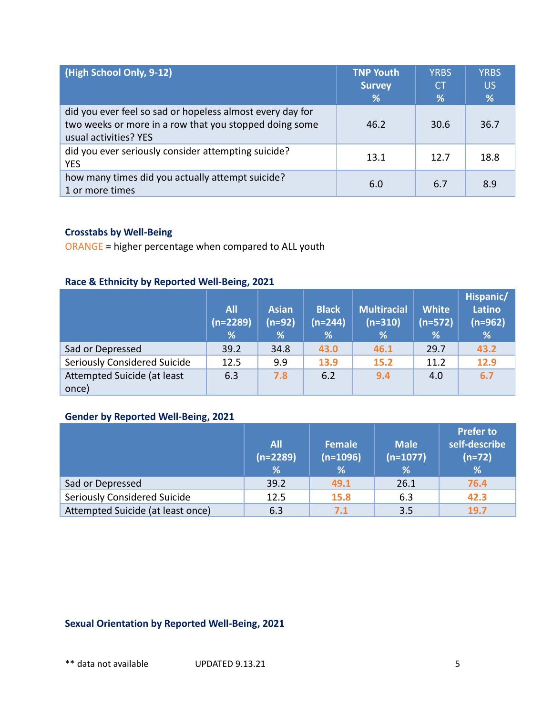| (High School Only, 9-12)                                                                                                                     | <b>TNP Youth</b><br><b>Survey</b><br>℅ | <b>YRBS</b><br>СT<br>℅ | <b>YRBS</b><br><b>US</b><br>% |
|----------------------------------------------------------------------------------------------------------------------------------------------|----------------------------------------|------------------------|-------------------------------|
| did you ever feel so sad or hopeless almost every day for<br>two weeks or more in a row that you stopped doing some<br>usual activities? YES | 46.2                                   | 30.6                   | 36.7                          |
| did you ever seriously consider attempting suicide?<br><b>YES</b>                                                                            | 13.1                                   | 12.7                   | 18.8                          |
| how many times did you actually attempt suicide?<br>1 or more times                                                                          | 6.0                                    | 6.7                    | 8.9                           |

### **Crosstabs by Well-Being**

ORANGE = higher percentage when compared to ALL youth

## **Race & Ethnicity by Reported Well-Being, 2021**

|                                     |            |              |              |                    |              | Hispanic/ |
|-------------------------------------|------------|--------------|--------------|--------------------|--------------|-----------|
|                                     | All        | <b>Asian</b> | <b>Black</b> | <b>Multiracial</b> | <b>White</b> | Latino    |
|                                     | $(n=2289)$ | $(n=92)$     | $(n=244)$    | $(n=310)$          | $(n=572)$    | $(n=962)$ |
|                                     | %          | ℅            | %            | %                  | %            | %         |
| Sad or Depressed                    | 39.2       | 34.8         | 43.0         | 46.1               | 29.7         | 43.2      |
| <b>Seriously Considered Suicide</b> | 12.5       | 9.9          | 13.9         | 15.2               | 11.2         | 12.9      |
| Attempted Suicide (at least         | 6.3        | 7.8          | 6.2          | 9.4                | 4.0          | 6.7       |
| once)                               |            |              |              |                    |              |           |

## **Gender by Reported Well-Being, 2021**

|                                   | <b>All</b><br>$(n=2289)$<br>℅ | Female<br>$(n=1096)$<br>% | <b>Male</b><br>$(n=1077)$<br>% | <b>Prefer to</b><br>self-describe<br>$(n=72)$<br>℅ |
|-----------------------------------|-------------------------------|---------------------------|--------------------------------|----------------------------------------------------|
| Sad or Depressed                  | 39.2                          | 49.1                      | 26.1                           | 76.4                                               |
| Seriously Considered Suicide      | 12.5                          | 15.8                      | 6.3                            | 42.3                                               |
| Attempted Suicide (at least once) | 6.3                           | 7.1                       | 3.5                            | 19.7                                               |

## **Sexual Orientation by Reported Well-Being, 2021**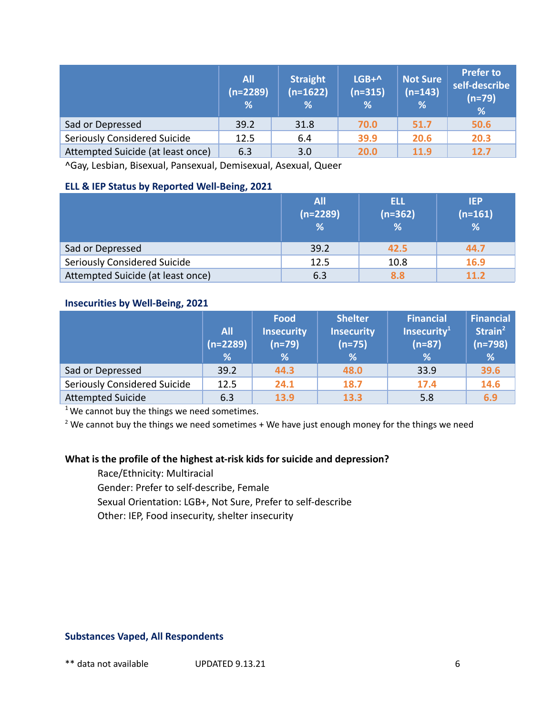|                                     | <b>All</b><br>$(n=2289)$<br>% | <b>Straight</b><br>$(n=1622)$<br>% | $LGB+0$<br>$(n=315)$<br>% | <b>Not Sure</b><br>$(n=143)$<br>% | <b>Prefer to</b><br>self-describe<br>$(n=79)$<br>% |
|-------------------------------------|-------------------------------|------------------------------------|---------------------------|-----------------------------------|----------------------------------------------------|
| Sad or Depressed                    | 39.2                          | 31.8                               | 70.0                      | 51.7                              | 50.6                                               |
| <b>Seriously Considered Suicide</b> | 12.5                          | 6.4                                | 39.9                      | <b>20.6</b>                       | 20.3                                               |
| Attempted Suicide (at least once)   | 6.3                           | 3.0                                | 20.0                      | 11.9                              | 12.7                                               |

^Gay, Lesbian, Bisexual, Pansexual, Demisexual, Asexual, Queer

### **ELL & IEP Status by Reported Well-Being, 2021**

|                                     | All<br>$(n=2289)$<br>% | ELL<br>$(n=362)$<br>% | <b>IEP</b><br>$(n=161)$<br>% |
|-------------------------------------|------------------------|-----------------------|------------------------------|
| Sad or Depressed                    | 39.2                   | 42.5                  | 44.7                         |
| <b>Seriously Considered Suicide</b> | 12.5                   | 10.8                  | 16.9                         |
| Attempted Suicide (at least once)   | 6.3                    | 8.8                   | 11.2                         |

### **Insecurities by Well-Being, 2021**

|                              | <b>All</b><br>$(n=2289)$<br>% | <b>Food</b><br><b>Insecurity</b><br>$(n=79)$<br>℅ | <b>Shelter</b><br><b>Insecurity</b><br>$(n=75)$<br>% | <b>Financial</b><br>Insecurity $1$<br>$(n=87)$<br>℅ | <b>Financial</b><br>Strain <sup>2</sup><br>$(n=798)$<br>% |
|------------------------------|-------------------------------|---------------------------------------------------|------------------------------------------------------|-----------------------------------------------------|-----------------------------------------------------------|
| Sad or Depressed             | 39.2                          | 44.3                                              | 48.0                                                 | 33.9                                                | 39.6                                                      |
| Seriously Considered Suicide | 12.5                          | 24.1                                              | <b>18.7</b>                                          | 17.4                                                | 14.6                                                      |
| <b>Attempted Suicide</b>     | 6.3                           | 13.9                                              | 13.3                                                 | 5.8                                                 | 6.9                                                       |

 $1$  We cannot buy the things we need sometimes.

 $2$  We cannot buy the things we need sometimes  $+$  We have just enough money for the things we need

### **What is the profile of the highest at-risk kids for suicide and depression?**

Race/Ethnicity: Multiracial

Gender: Prefer to self-describe, Female

Sexual Orientation: LGB+, Not Sure, Prefer to self-describe

Other: IEP, Food insecurity, shelter insecurity

### **Substances Vaped, All Respondents**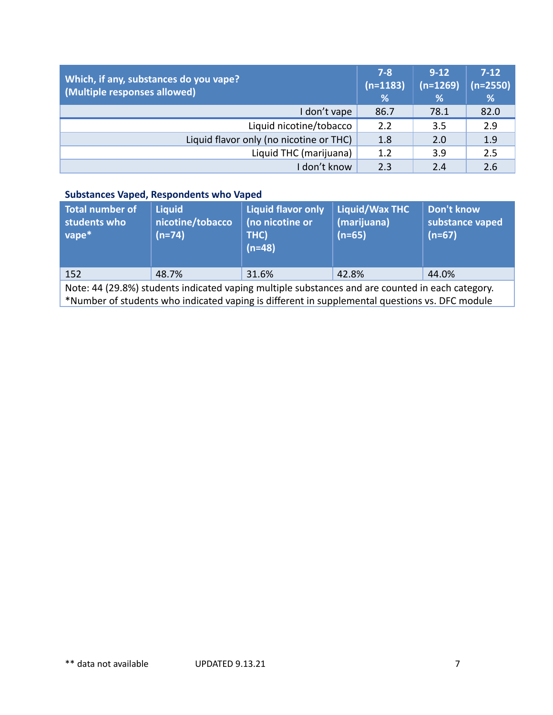| Which, if any, substances do you vape?<br>(Multiple responses allowed) | $7 - 8$<br>$(n=1183)$<br>% | $9 - 12$<br>$(n=1269)$<br>% | $7-12$<br>$(n=2550)$<br>% |
|------------------------------------------------------------------------|----------------------------|-----------------------------|---------------------------|
| don't vape                                                             | 86.7                       | 78.1                        | 82.0                      |
| Liquid nicotine/tobacco                                                | 2.2                        | 3.5                         | 2.9                       |
| Liquid flavor only (no nicotine or THC)                                | 1.8                        | 2.0                         | 1.9                       |
| Liquid THC (marijuana)                                                 | 1.2                        | 3.9                         | 2.5                       |
| I don't know                                                           | 2.3                        | 2.4                         | 2.6                       |

## **Substances Vaped, Respondents who Vaped**

| <b>Total number of</b><br>students who<br>$vape*$                                                | <b>Liquid</b><br>nicotine/tobacco<br>$(n=74)$ | <b>Liquid flavor only</b><br>(no nicotine or<br>THC)<br>$(n=48)$ | Liquid/Wax THC<br>(marijuana)<br>$(n=65)$ | Don't know<br>substance vaped<br>$(n=67)$ |  |
|--------------------------------------------------------------------------------------------------|-----------------------------------------------|------------------------------------------------------------------|-------------------------------------------|-------------------------------------------|--|
| 152                                                                                              | 48.7%                                         | 31.6%                                                            | 42.8%                                     | 44.0%                                     |  |
| Note: 44 (29.8%) students indicated vaping multiple substances and are counted in each category. |                                               |                                                                  |                                           |                                           |  |

\*Number of students who indicated vaping is different in supplemental questions vs. DFC module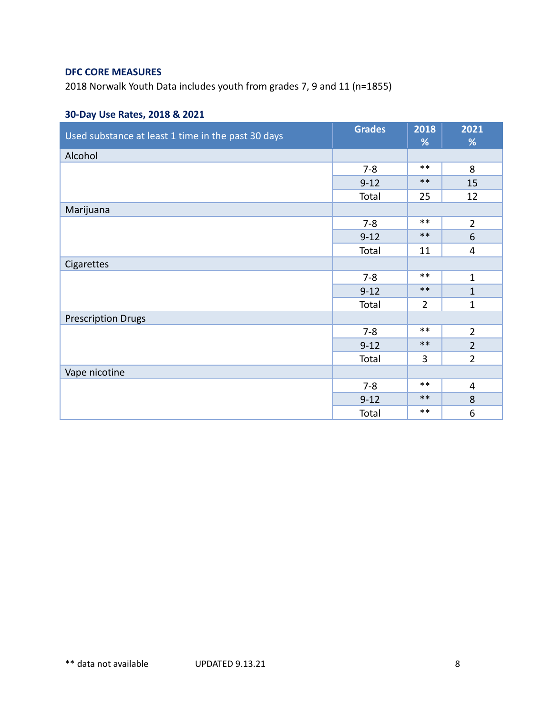## **DFC CORE MEASURES**

2018 Norwalk Youth Data includes youth from grades 7, 9 and 11 (n=1855)

| Used substance at least 1 time in the past 30 days | <b>Grades</b> | 2018<br>%      | 2021<br>%      |
|----------------------------------------------------|---------------|----------------|----------------|
| Alcohol                                            |               |                |                |
|                                                    | $7 - 8$       | $***$          | 8              |
|                                                    | $9 - 12$      | $***$          | 15             |
|                                                    | Total         | 25             | 12             |
| Marijuana                                          |               |                |                |
|                                                    | $7 - 8$       | $***$          | $\overline{2}$ |
|                                                    | $9 - 12$      | $***$          | 6              |
|                                                    | Total         | 11             | 4              |
| Cigarettes                                         |               |                |                |
|                                                    | $7 - 8$       | $***$          | $\mathbf{1}$   |
|                                                    | $9 - 12$      | $***$          | $\mathbf{1}$   |
|                                                    | Total         | $\overline{2}$ | $\mathbf{1}$   |
| <b>Prescription Drugs</b>                          |               |                |                |
|                                                    | $7 - 8$       | $***$          | $\overline{2}$ |
|                                                    | $9 - 12$      | $***$          | $\overline{2}$ |
|                                                    | Total         | 3              | $\overline{2}$ |
| Vape nicotine                                      |               |                |                |
|                                                    | $7 - 8$       | $***$          | 4              |
|                                                    | $9 - 12$      | $***$          | $\,8\,$        |
|                                                    | Total         | $***$          | 6              |

### **30-Day Use Rates, 2018 & 2021**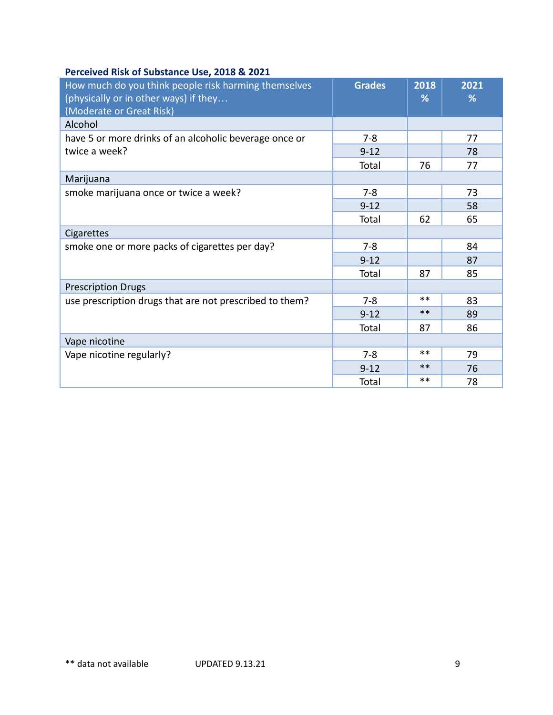# **Perceived Risk of Substance Use, 2018 & 2021**

| How much do you think people risk harming themselves<br>(physically or in other ways) if they<br>(Moderate or Great Risk) | <b>Grades</b> | 2018<br>% | 2021<br>% |
|---------------------------------------------------------------------------------------------------------------------------|---------------|-----------|-----------|
| Alcohol                                                                                                                   |               |           |           |
| have 5 or more drinks of an alcoholic beverage once or                                                                    | $7 - 8$       |           | 77        |
| twice a week?                                                                                                             | $9 - 12$      |           | 78        |
|                                                                                                                           | Total         | 76        | 77        |
| Marijuana                                                                                                                 |               |           |           |
| smoke marijuana once or twice a week?                                                                                     | $7 - 8$       |           | 73        |
|                                                                                                                           | $9 - 12$      |           | 58        |
|                                                                                                                           | Total         | 62        | 65        |
| Cigarettes                                                                                                                |               |           |           |
| smoke one or more packs of cigarettes per day?                                                                            | $7 - 8$       |           | 84        |
|                                                                                                                           | $9 - 12$      |           | 87        |
|                                                                                                                           | Total         | 87        | 85        |
| <b>Prescription Drugs</b>                                                                                                 |               |           |           |
| use prescription drugs that are not prescribed to them?                                                                   | $7 - 8$       | $***$     | 83        |
|                                                                                                                           | $9 - 12$      | $***$     | 89        |
|                                                                                                                           | Total         | 87        | 86        |
| Vape nicotine                                                                                                             |               |           |           |
| Vape nicotine regularly?                                                                                                  | $7 - 8$       | $***$     | 79        |
|                                                                                                                           | $9 - 12$      | $***$     | 76        |
|                                                                                                                           | Total         | **        | 78        |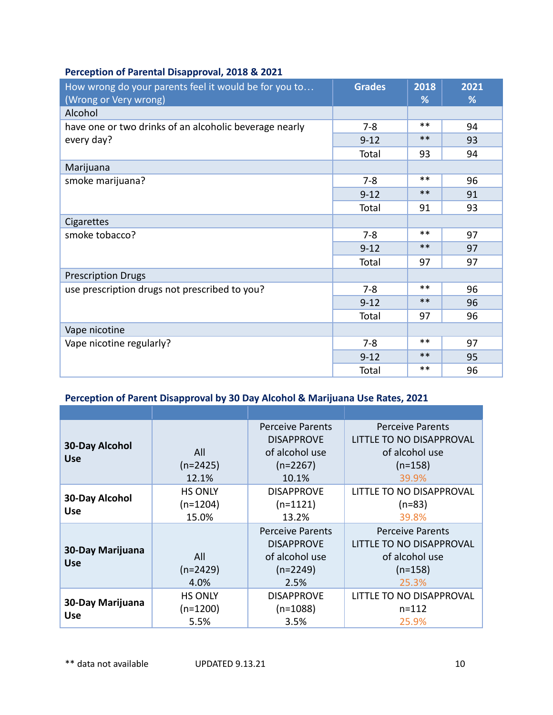# **Perception of Parental Disapproval, 2018 & 2021**

| How wrong do your parents feel it would be for you to<br>(Wrong or Very wrong) | <b>Grades</b> | 2018<br>% | 2021<br>% |
|--------------------------------------------------------------------------------|---------------|-----------|-----------|
| Alcohol                                                                        |               |           |           |
| have one or two drinks of an alcoholic beverage nearly                         | $7 - 8$       | $***$     | 94        |
| every day?                                                                     | $9 - 12$      | $***$     | 93        |
|                                                                                | Total         | 93        | 94        |
| Marijuana                                                                      |               |           |           |
| smoke marijuana?                                                               | $7 - 8$       | $***$     | 96        |
|                                                                                | $9 - 12$      | $***$     | 91        |
|                                                                                | Total         | 91        | 93        |
| Cigarettes                                                                     |               |           |           |
| smoke tobacco?                                                                 | $7 - 8$       | $***$     | 97        |
|                                                                                | $9 - 12$      | $***$     | 97        |
|                                                                                | Total         | 97        | 97        |
| <b>Prescription Drugs</b>                                                      |               |           |           |
| use prescription drugs not prescribed to you?                                  | $7 - 8$       | $***$     | 96        |
|                                                                                | $9 - 12$      | $***$     | 96        |
|                                                                                | Total         | 97        | 96        |
| Vape nicotine                                                                  |               |           |           |
| Vape nicotine regularly?                                                       | $7 - 8$       | $***$     | 97        |
|                                                                                | $9 - 12$      | $***$     | 95        |
|                                                                                | Total         | $***$     | 96        |

# **Perception of Parent Disapproval by 30 Day Alcohol & Marijuana Use Rates, 2021**

| <b>30-Day Alcohol</b><br><b>Use</b> | All<br>$(n=2425)$<br>12.1%            | <b>Perceive Parents</b><br><b>DISAPPROVE</b><br>of alcohol use<br>$(n=2267)$<br>10.1% | <b>Perceive Parents</b><br>LITTLE TO NO DISAPPROVAL<br>of alcohol use<br>$(n=158)$<br>39.9% |
|-------------------------------------|---------------------------------------|---------------------------------------------------------------------------------------|---------------------------------------------------------------------------------------------|
| 30-Day Alcohol<br><b>Use</b>        | <b>HS ONLY</b><br>$(n=1204)$<br>15.0% | <b>DISAPPROVE</b><br>$(n=1121)$<br>13.2%                                              | LITTLE TO NO DISAPPROVAL<br>$(n=83)$<br>39.8%                                               |
| 30-Day Marijuana<br><b>Use</b>      | All<br>$(n=2429)$<br>4.0%             | <b>Perceive Parents</b><br><b>DISAPPROVE</b><br>of alcohol use<br>$(n=2249)$<br>2.5%  | <b>Perceive Parents</b><br>LITTLE TO NO DISAPPROVAL<br>of alcohol use<br>$(n=158)$<br>25.3% |
| 30-Day Marijuana<br><b>Use</b>      | <b>HS ONLY</b><br>$(n=1200)$<br>5.5%  | <b>DISAPPROVE</b><br>$(n=1088)$<br>3.5%                                               | LITTLE TO NO DISAPPROVAL<br>$n = 112$<br>25.9%                                              |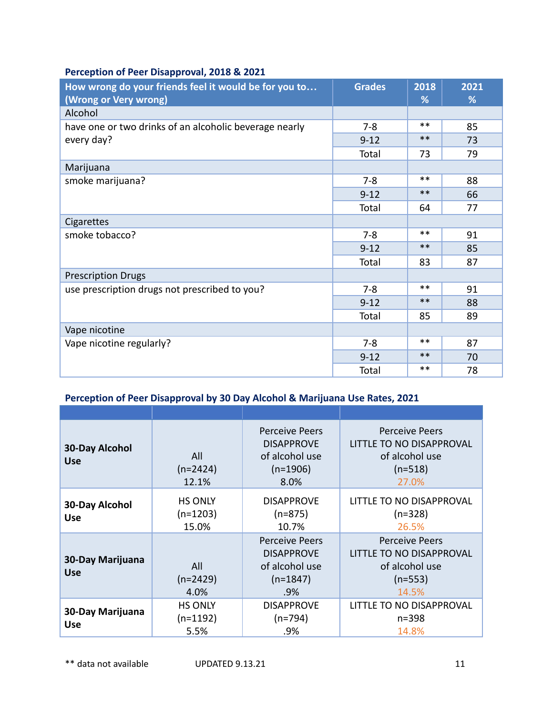# **Perception of Peer Disapproval, 2018 & 2021**

| How wrong do your friends feel it would be for you to<br>(Wrong or Very wrong) | <b>Grades</b> | 2018<br>% | 2021<br>% |
|--------------------------------------------------------------------------------|---------------|-----------|-----------|
| Alcohol                                                                        |               |           |           |
| have one or two drinks of an alcoholic beverage nearly                         | $7 - 8$       | $***$     | 85        |
| every day?                                                                     | $9 - 12$      | $***$     | 73        |
|                                                                                | Total         | 73        | 79        |
| Marijuana                                                                      |               |           |           |
| smoke marijuana?                                                               | $7 - 8$       | $***$     | 88        |
|                                                                                | $9 - 12$      | $***$     | 66        |
|                                                                                | Total         | 64        | 77        |
| Cigarettes                                                                     |               |           |           |
| smoke tobacco?                                                                 | $7 - 8$       | $***$     | 91        |
|                                                                                | $9 - 12$      | $***$     | 85        |
|                                                                                | Total         | 83        | 87        |
| <b>Prescription Drugs</b>                                                      |               |           |           |
| use prescription drugs not prescribed to you?                                  | $7 - 8$       | $***$     | 91        |
|                                                                                | $9 - 12$      | $***$     | 88        |
|                                                                                | Total         | 85        | 89        |
| Vape nicotine                                                                  |               |           |           |
| Vape nicotine regularly?                                                       | $7 - 8$       | $***$     | 87        |
|                                                                                | $9 - 12$      | $***$     | 70        |
|                                                                                | Total         | $***$     | 78        |

# **Perception of Peer Disapproval by 30 Day Alcohol & Marijuana Use Rates, 2021**

| <b>30-Day Alcohol</b><br><b>Use</b> | All<br>$(n=2424)$<br>12.1%            | <b>Perceive Peers</b><br><b>DISAPPROVE</b><br>of alcohol use<br>$(n=1906)$<br>8.0% | <b>Perceive Peers</b><br>LITTLE TO NO DISAPPROVAL<br>of alcohol use<br>$(n=518)$<br>27.0% |
|-------------------------------------|---------------------------------------|------------------------------------------------------------------------------------|-------------------------------------------------------------------------------------------|
| 30-Day Alcohol<br><b>Use</b>        | <b>HS ONLY</b><br>$(n=1203)$<br>15.0% | <b>DISAPPROVE</b><br>$(n=875)$<br>10.7%                                            | LITTLE TO NO DISAPPROVAL<br>$(n=328)$<br>26.5%                                            |
| 30-Day Marijuana<br><b>Use</b>      | All<br>$(n=2429)$<br>4.0%             | <b>Perceive Peers</b><br><b>DISAPPROVE</b><br>of alcohol use<br>$(n=1847)$<br>.9%  | <b>Perceive Peers</b><br>LITTLE TO NO DISAPPROVAL<br>of alcohol use<br>$(n=553)$<br>14.5% |
| 30-Day Marijuana<br><b>Use</b>      | <b>HS ONLY</b><br>$(n=1192)$<br>5.5%  | <b>DISAPPROVE</b><br>$(n=794)$<br>.9%                                              | LITTLE TO NO DISAPPROVAL<br>$n = 398$<br>14.8%                                            |

\*\* data not available UPDATED 9.13.21 11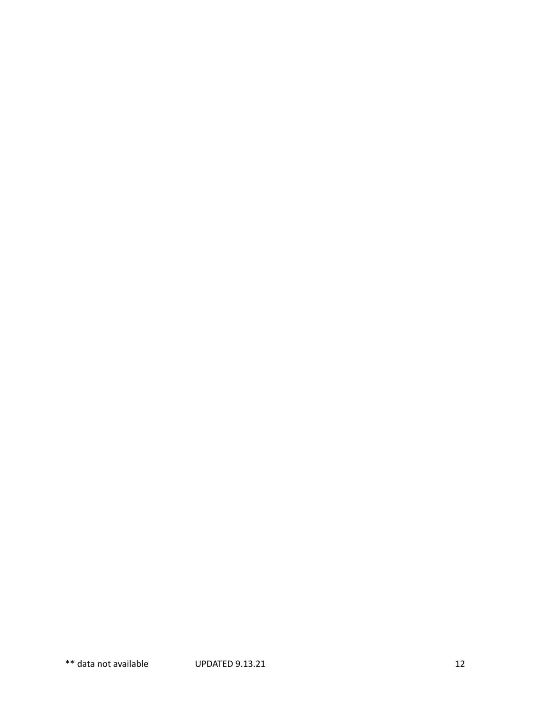\*\* data not available UPDATED 9.13.21 12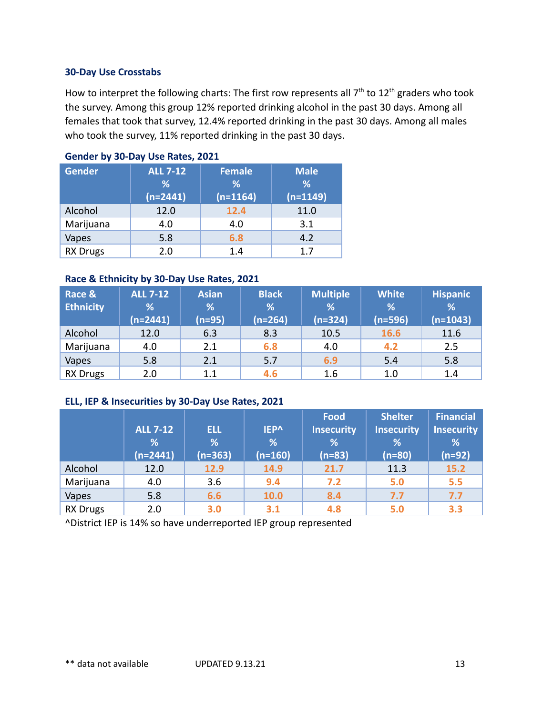### **30-Day Use Crosstabs**

How to interpret the following charts: The first row represents all  $7<sup>th</sup>$  to  $12<sup>th</sup>$  graders who took the survey. Among this group 12% reported drinking alcohol in the past 30 days. Among all females that took that survey, 12.4% reported drinking in the past 30 days. Among all males who took the survey, 11% reported drinking in the past 30 days.

| .               |                                    |                                  |                                |  |  |  |  |  |
|-----------------|------------------------------------|----------------------------------|--------------------------------|--|--|--|--|--|
| <b>Gender</b>   | <b>ALL 7-12</b><br>%<br>$(n=2441)$ | <b>Female</b><br>℅<br>$(n=1164)$ | <b>Male</b><br>%<br>$(n=1149)$ |  |  |  |  |  |
| Alcohol         | 12.0                               | 12.4                             | 11.0                           |  |  |  |  |  |
| Marijuana       | 4.0                                | 4.0                              | 3.1                            |  |  |  |  |  |
| Vapes           | 5.8                                | 6.8                              | 4.2                            |  |  |  |  |  |
| <b>RX Drugs</b> | 2.0                                | 1.4                              | 1.7                            |  |  |  |  |  |

### **Gender by 30-Day Use Rates, 2021**

### **Race & Ethnicity by 30-Day Use Rates, 2021**

| Race &<br><b>Ethnicity</b> | <b>ALL 7-12</b><br>%<br>$(n=2441)$ | <b>Asian</b><br>%<br>(n=95) | <b>Black</b><br>%<br>(n=264) | <b>Multiple</b><br>%<br>$(n=324)$ | <b>White</b><br>%<br>(n=596) | <b>Hispanic</b><br>%<br>$(n=1043)$ |
|----------------------------|------------------------------------|-----------------------------|------------------------------|-----------------------------------|------------------------------|------------------------------------|
| Alcohol                    | 12.0                               | 6.3                         | 8.3                          | 10.5                              | 16.6                         | 11.6                               |
| Marijuana                  | 4.0                                | 2.1                         | 6.8                          | 4.0                               | 4.2                          | 2.5                                |
| Vapes                      | 5.8                                | 2.1                         | 5.7                          | 6.9                               | 5.4                          | 5.8                                |
| <b>RX Drugs</b>            | 2.0                                | 1.1                         | 4.6                          | 1.6                               | 1.0                          | 1.4                                |

## **ELL, IEP & Insecurities by 30-Day Use Rates, 2021**

|                 | <b>ALL 7-12</b><br>%<br>$(n=2441)$ | <b>ELL</b><br>%<br>$(n=363)$ | <b>IEP^</b><br>%<br>$(n=160)$ | <b>Food</b><br><b>Insecurity</b><br>%<br>$(n=83)$ | <b>Shelter</b><br><b>Insecurity</b><br>%<br>$(n=80)$ | <b>Financial</b><br><b>Insecurity</b><br>%<br>(n=92) |
|-----------------|------------------------------------|------------------------------|-------------------------------|---------------------------------------------------|------------------------------------------------------|------------------------------------------------------|
| Alcohol         | 12.0                               | 12.9                         | 14.9                          | 21.7                                              | 11.3                                                 | 15.2                                                 |
| Marijuana       | 4.0                                | 3.6                          | 9.4                           | 7.2                                               | 5.0                                                  | 5.5                                                  |
| Vapes           | 5.8                                | 6.6                          | 10.0                          | 8.4                                               | 7.7                                                  | 7.7                                                  |
| <b>RX Drugs</b> | 2.0                                | 3.0                          | 3.1                           | 4.8                                               | 5.0                                                  | 3.3                                                  |

^District IEP is 14% so have underreported IEP group represented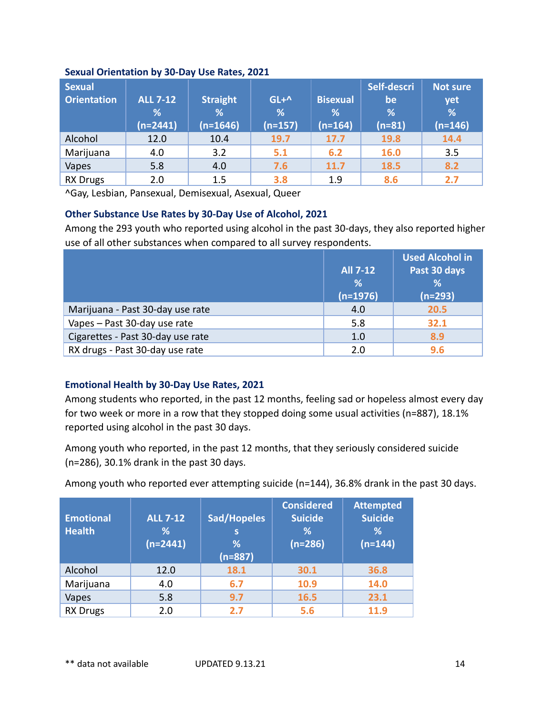### **Sexual Orientation by 30-Day Use Rates, 2021**

| <b>Sexual</b><br><b>Orientation</b> | <b>ALL 7-12</b><br>%<br>$(n=2441)$ | <b>Straight</b><br>%<br>$(n=1646)$ | $GL+^$<br>%<br>$(n=157)$ | <b>Bisexual</b><br>℅<br>$(n=164)$ | Self-descri<br>be<br>%<br>$(n=81)$ | <b>Not sure</b><br>yet<br>%<br>$(n=146)$ |
|-------------------------------------|------------------------------------|------------------------------------|--------------------------|-----------------------------------|------------------------------------|------------------------------------------|
| Alcohol                             | 12.0                               | 10.4                               | 19.7                     | 17.7                              | 19.8                               | 14.4                                     |
| Marijuana                           | 4.0                                | 3.2                                | 5.1                      | 6.2                               | 16.0                               | 3.5                                      |
| Vapes                               | 5.8                                | 4.0                                | 7.6                      | 11.7                              | 18.5                               | 8.2                                      |
| <b>RX Drugs</b>                     | 2.0                                | 1.5                                | 3.8                      | 1.9                               | 8.6                                | 2.7                                      |

^Gay, Lesbian, Pansexual, Demisexual, Asexual, Queer

## **Other Substance Use Rates by 30-Day Use of Alcohol, 2021**

Among the 293 youth who reported using alcohol in the past 30-days, they also reported higher use of all other substances when compared to all survey respondents.

|                                   | <b>All 7-12</b><br>℅<br>$(n=1976)$ | <b>Used Alcohol in</b><br>Past 30 days<br>%<br>$(n=293)$ |
|-----------------------------------|------------------------------------|----------------------------------------------------------|
| Marijuana - Past 30-day use rate  | 4.0                                | 20.5                                                     |
| Vapes - Past 30-day use rate      | 5.8                                | 32.1                                                     |
| Cigarettes - Past 30-day use rate | 1.0                                | 8.9                                                      |
| RX drugs - Past 30-day use rate   | 2.0                                | 9.6                                                      |

## **Emotional Health by 30-Day Use Rates, 2021**

Among students who reported, in the past 12 months, feeling sad or hopeless almost every day for two week or more in a row that they stopped doing some usual activities (n=887), 18.1% reported using alcohol in the past 30 days.

Among youth who reported, in the past 12 months, that they seriously considered suicide (n=286), 30.1% drank in the past 30 days.

| <b>Emotional</b><br><b>Health</b> | <b>ALL 7-12</b><br>%<br>$(n=2441)$ | Sad/Hopeles<br>S<br>℅<br>$(n=887)$ | <b>Considered</b><br><b>Suicide</b><br>℅<br>$(n=286)$ | <b>Attempted</b><br><b>Suicide</b><br>%<br>$(n=144)$ |
|-----------------------------------|------------------------------------|------------------------------------|-------------------------------------------------------|------------------------------------------------------|
| Alcohol                           | 12.0                               | 18.1                               | 30.1                                                  | 36.8                                                 |
| Marijuana                         | 4.0                                | 6.7                                | 10.9                                                  | 14.0                                                 |
| Vapes                             | 5.8                                | 9.7                                | 16.5                                                  | 23.1                                                 |
| <b>RX Drugs</b>                   | 2.0                                | 2.7                                | 5.6                                                   | 11.9                                                 |

Among youth who reported ever attempting suicide (n=144), 36.8% drank in the past 30 days.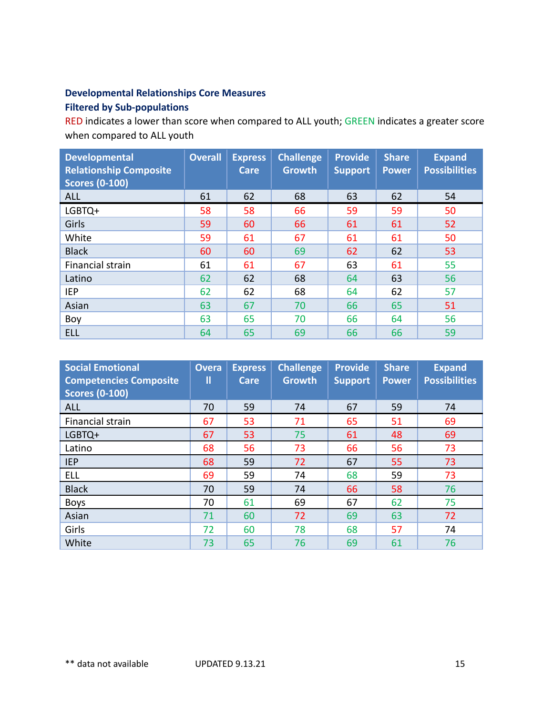## **Developmental Relationships Core Measures Filtered by Sub-populations**

RED indicates a lower than score when compared to ALL youth; GREEN indicates a greater score when compared to ALL youth

| <b>Developmental</b><br><b>Relationship Composite</b><br><b>Scores (0-100)</b> | <b>Overall</b> | <b>Express</b><br>Care | <b>Challenge</b><br><b>Growth</b> | <b>Provide</b><br><b>Support</b> | <b>Share</b><br><b>Power</b> | <b>Expand</b><br><b>Possibilities</b> |
|--------------------------------------------------------------------------------|----------------|------------------------|-----------------------------------|----------------------------------|------------------------------|---------------------------------------|
| <b>ALL</b>                                                                     | 61             | 62                     | 68                                | 63                               | 62                           | 54                                    |
| LGBTQ+                                                                         | 58             | 58                     | 66                                | 59                               | 59                           | 50                                    |
| Girls                                                                          | 59             | 60                     | 66                                | 61                               | 61                           | 52                                    |
| White                                                                          | 59             | 61                     | 67                                | 61                               | 61                           | 50                                    |
| <b>Black</b>                                                                   | 60             | 60                     | 69                                | 62                               | 62                           | 53                                    |
| Financial strain                                                               | 61             | 61                     | 67                                | 63                               | 61                           | 55                                    |
| Latino                                                                         | 62             | 62                     | 68                                | 64                               | 63                           | 56                                    |
| IEP                                                                            | 62             | 62                     | 68                                | 64                               | 62                           | 57                                    |
| Asian                                                                          | 63             | 67                     | 70                                | 66                               | 65                           | 51                                    |
| Boy                                                                            | 63             | 65                     | 70                                | 66                               | 64                           | 56                                    |
| <b>ELL</b>                                                                     | 64             | 65                     | 69                                | 66                               | 66                           | 59                                    |

| <b>Social Emotional</b><br><b>Competencies Composite</b><br><b>Scores (0-100)</b> | <b>Overa</b><br>Ш | <b>Express</b><br>Care | <b>Challenge</b><br><b>Growth</b> | <b>Provide</b><br><b>Support</b> | <b>Share</b><br><b>Power</b> | <b>Expand</b><br><b>Possibilities</b> |
|-----------------------------------------------------------------------------------|-------------------|------------------------|-----------------------------------|----------------------------------|------------------------------|---------------------------------------|
| <b>ALL</b>                                                                        | 70                | 59                     | 74                                | 67                               | 59                           | 74                                    |
| Financial strain                                                                  | 67                | 53                     | 71                                | 65                               | 51                           | 69                                    |
| LGBTQ+                                                                            | 67                | 53                     | 75                                | 61                               | 48                           | 69                                    |
| Latino                                                                            | 68                | 56                     | 73                                | 66                               | 56                           | 73                                    |
| <b>IEP</b>                                                                        | 68                | 59                     | 72                                | 67                               | 55                           | 73                                    |
| ELL                                                                               | 69                | 59                     | 74                                | 68                               | 59                           | 73                                    |
| <b>Black</b>                                                                      | 70                | 59                     | 74                                | 66                               | 58                           | 76                                    |
| <b>Boys</b>                                                                       | 70                | 61                     | 69                                | 67                               | 62                           | 75                                    |
| Asian                                                                             | 71                | 60                     | 72                                | 69                               | 63                           | 72                                    |
| Girls                                                                             | 72                | 60                     | 78                                | 68                               | 57                           | 74                                    |
| White                                                                             | 73                | 65                     | 76                                | 69                               | 61                           | 76                                    |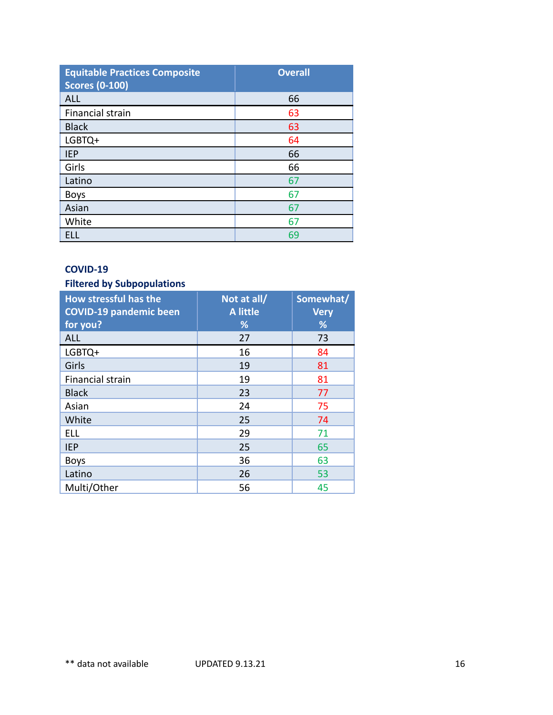| <b>Equitable Practices Composite</b><br><b>Scores (0-100)</b> | <b>Overall</b> |
|---------------------------------------------------------------|----------------|
| <b>ALL</b>                                                    | 66             |
| Financial strain                                              | 63             |
| <b>Black</b>                                                  | 63             |
| LGBTQ+                                                        | 64             |
| <b>IEP</b>                                                    | 66             |
| Girls                                                         | 66             |
| Latino                                                        | 67             |
| <b>Boys</b>                                                   | 67             |
| Asian                                                         | 67             |
| White                                                         | 67             |
| FH.                                                           | 69             |

## **COVID-19**

# **Filtered by Subpopulations**

| <b>How stressful has the</b><br><b>COVID-19 pandemic been</b><br>for you? | Not at all/<br><b>A</b> little<br>% | Somewhat/<br><b>Very</b><br>% |
|---------------------------------------------------------------------------|-------------------------------------|-------------------------------|
| <b>ALL</b>                                                                | 27                                  | 73                            |
| LGBTQ+                                                                    | 16                                  | 84                            |
| Girls                                                                     | 19                                  | 81                            |
| Financial strain                                                          | 19                                  | 81                            |
| <b>Black</b>                                                              | 23                                  | 77                            |
| Asian                                                                     | 24                                  | 75                            |
| White                                                                     | 25                                  | 74                            |
| <b>ELL</b>                                                                | 29                                  | 71                            |
| <b>IEP</b>                                                                | 25                                  | 65                            |
| <b>Boys</b>                                                               | 36                                  | 63                            |
| Latino                                                                    | 26                                  | 53                            |
| Multi/Other                                                               | 56                                  | 45                            |